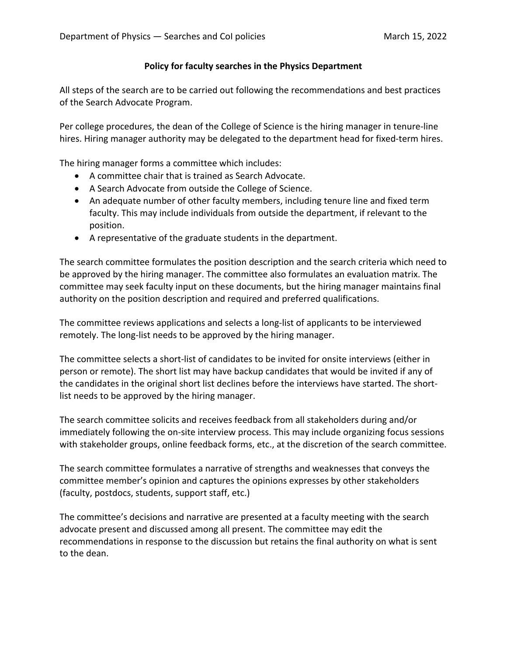## **Policy for faculty searches in the Physics Department**

All steps of the search are to be carried out following the recommendations and best practices of the Search Advocate Program.

Per college procedures, the dean of the College of Science is the hiring manager in tenure-line hires. Hiring manager authority may be delegated to the department head for fixed-term hires.

The hiring manager forms a committee which includes:

- A committee chair that is trained as Search Advocate.
- A Search Advocate from outside the College of Science.
- An adequate number of other faculty members, including tenure line and fixed term faculty. This may include individuals from outside the department, if relevant to the position.
- A representative of the graduate students in the department.

The search committee formulates the position description and the search criteria which need to be approved by the hiring manager. The committee also formulates an evaluation matrix. The committee may seek faculty input on these documents, but the hiring manager maintains final authority on the position description and required and preferred qualifications.

The committee reviews applications and selects a long-list of applicants to be interviewed remotely. The long-list needs to be approved by the hiring manager.

The committee selects a short-list of candidates to be invited for onsite interviews (either in person or remote). The short list may have backup candidates that would be invited if any of the candidates in the original short list declines before the interviews have started. The shortlist needs to be approved by the hiring manager.

The search committee solicits and receives feedback from all stakeholders during and/or immediately following the on-site interview process. This may include organizing focus sessions with stakeholder groups, online feedback forms, etc., at the discretion of the search committee.

The search committee formulates a narrative of strengths and weaknesses that conveys the committee member's opinion and captures the opinions expresses by other stakeholders (faculty, postdocs, students, support staff, etc.)

The committee's decisions and narrative are presented at a faculty meeting with the search advocate present and discussed among all present. The committee may edit the recommendations in response to the discussion but retains the final authority on what is sent to the dean.